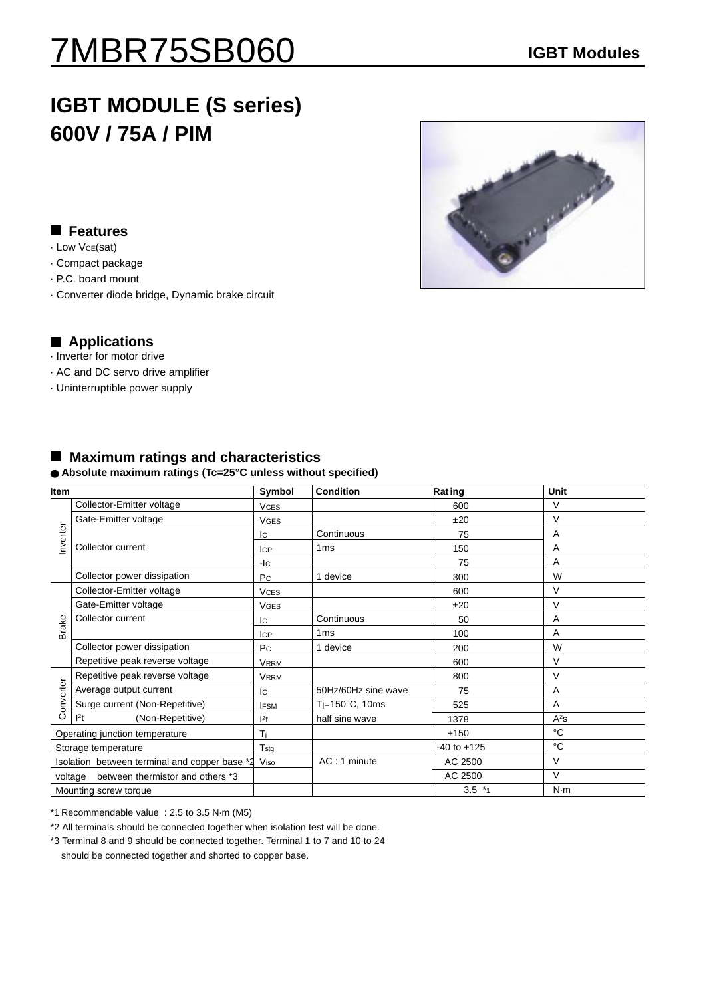# 7MBR75SB060 **IGBT Modules**

# **IGBT MODULE (S series) 600V / 75A / PIM**

## **Features**

- · Low VCE(sat)
- · Compact package
- · P.C. board mount
- · Converter diode bridge, Dynamic brake circuit

### **Applications**

- · Inverter for motor drive
- · AC and DC servo drive amplifier
- · Uninterruptible power supply

|  |  |  |  | <b>Maximum ratings and characteristics</b> |  |
|--|--|--|--|--------------------------------------------|--|
|--|--|--|--|--------------------------------------------|--|

#### **Absolute maximum ratings (Tc=25°C unless without specified)**

| Item                                          |                                      | Symbol           | <b>Condition</b>    | <b>Rating</b>   | Unit           |
|-----------------------------------------------|--------------------------------------|------------------|---------------------|-----------------|----------------|
| Inverter                                      | Collector-Emitter voltage            | <b>VCES</b>      |                     | 600             | $\vee$         |
|                                               | Gate-Emitter voltage                 | <b>VGES</b>      |                     | ±20             | V              |
|                                               | Collector current                    | Iс               | Continuous          | 75              | $\overline{A}$ |
|                                               |                                      | <b>ICP</b>       | 1 <sub>ms</sub>     | 150             | A              |
|                                               |                                      | -lc              |                     | 75              | A              |
|                                               | Collector power dissipation          | Pc               | 1 device            | 300             | W              |
| Brake                                         | Collector-Emitter voltage            | <b>VCES</b>      |                     | 600             | V              |
|                                               | Gate-Emitter voltage                 | <b>VGES</b>      |                     | ±20             | $\vee$         |
|                                               | Collector current                    | Ic               | Continuous          | 50              | A              |
|                                               |                                      | <b>ICP</b>       | 1 <sub>ms</sub>     | 100             | A              |
|                                               | Collector power dissipation          | P <sub>C</sub>   | 1 device            | 200             | W              |
|                                               | Repetitive peak reverse voltage      | <b>VRRM</b>      |                     | 600             | V              |
| Converter                                     | Repetitive peak reverse voltage      | <b>VRRM</b>      |                     | 800             | $\vee$         |
|                                               | Average output current               | lo               | 50Hz/60Hz sine wave | 75              | $\overline{A}$ |
|                                               | Surge current (Non-Repetitive)       | <b>IFSM</b>      | Tj=150°C, 10ms      | 525             | A              |
|                                               | 1 <sup>2</sup> t<br>(Non-Repetitive) | l <sup>2</sup> t | half sine wave      | 1378            | $A^2S$         |
|                                               | Operating junction temperature       |                  |                     | $+150$          | °C             |
| Storage temperature                           |                                      | $T_{\rm stg}$    |                     | $-40$ to $+125$ | °C             |
| Isolation between terminal and copper base *2 |                                      | Viso             | AC: 1 minute        | AC 2500         | V              |
| between thermistor and others *3<br>voltage   |                                      |                  |                     | AC 2500         | $\vee$         |
|                                               | Mounting screw torque                |                  |                     | $3.5*1$         | N·m            |

\*1 Recommendable value : 2.5 to 3.5 N·m (M5)

\*2 All terminals should be connected together when isolation test will be done.

\*3 Terminal 8 and 9 should be connected together. Terminal 1 to 7 and 10 to 24 should be connected together and shorted to copper base.

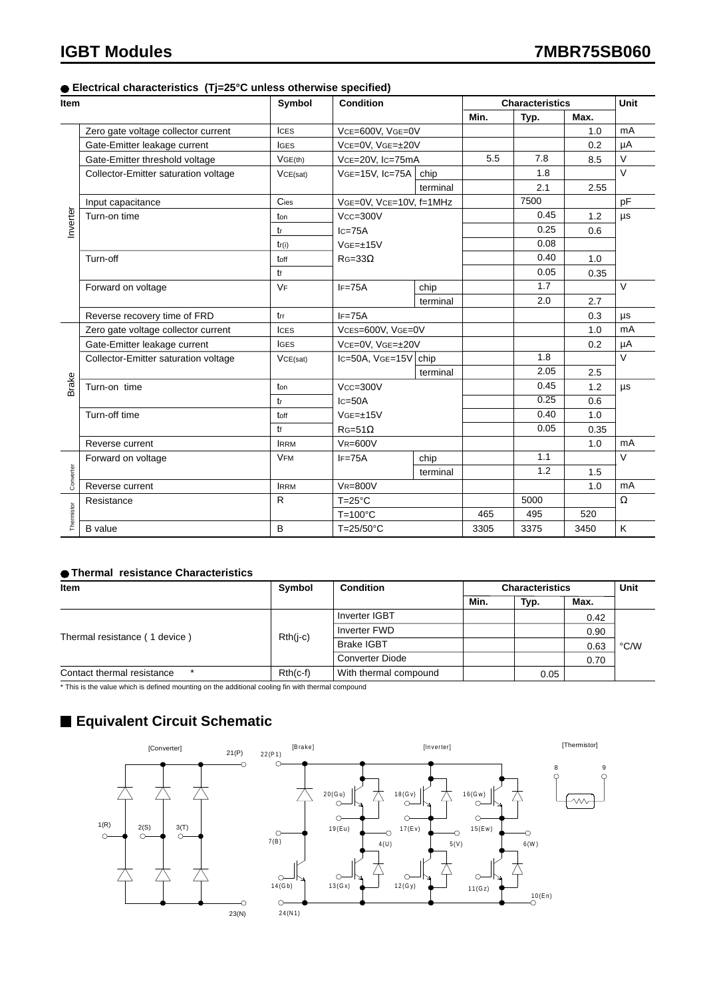#### **Electrical characteristics (Tj=25°C unless otherwise specified)**

| Item       |                                      | Symbol       | <b>Condition</b>              |                   | <b>Characteristics</b> |      |      | <b>Unit</b> |
|------------|--------------------------------------|--------------|-------------------------------|-------------------|------------------------|------|------|-------------|
|            |                                      |              |                               |                   |                        | Typ. | Max. |             |
|            | Zero gate voltage collector current  | <b>ICES</b>  | VCE=600V, VGE=0V              |                   |                        |      | 1.0  | mA          |
|            | Gate-Emitter leakage current         | <b>IGES</b>  | VCE=0V, VGE=±20V              |                   |                        |      | 0.2  | μA          |
| Inverter   | Gate-Emitter threshold voltage       | VGE(th)      | VcE=20V, Ic=75mA              |                   | 5.5                    | 7.8  | 8.5  | V           |
|            | Collector-Emitter saturation voltage | VCE(sat)     | VGE=15V, Ic=75A               | chip              |                        | 1.8  |      | $\vee$      |
|            |                                      |              |                               | terminal          |                        | 2.1  | 2.55 |             |
|            | Input capacitance                    | Cies         | VGE=0V, VCE=10V, f=1MHz       |                   |                        | 7500 |      | pF          |
|            | Turn-on time                         | ton          | $Vcc = 300V$<br>$Ic=75A$      |                   |                        | 0.45 | 1.2  | $\mu s$     |
|            |                                      | tr           |                               |                   | 0.25                   | 0.6  |      |             |
|            |                                      | tr(i)        | $VGE=\pm 15V$                 |                   |                        | 0.08 |      |             |
|            | Turn-off                             | toff         | $R$ G=33 $\Omega$             |                   |                        | 0.40 | 1.0  |             |
|            |                                      | tf           |                               |                   |                        | 0.05 | 0.35 |             |
|            | Forward on voltage                   | <b>VF</b>    | $IF = 75A$                    | chip              |                        | 1.7  |      | $\vee$      |
|            |                                      |              |                               | terminal          |                        | 2.0  | 2.7  |             |
|            | Reverse recovery time of FRD         | trr          | $IF = 75A$                    |                   |                        |      | 0.3  | μs          |
|            | Zero gate voltage collector current  | <b>ICES</b>  | VCES=600V, VGE=0V             |                   |                        |      | 1.0  | mA          |
|            | Gate-Emitter leakage current         | <b>IGES</b>  | VCE=0V, VGE=±20V              |                   |                        |      | 0.2  | μA          |
|            | Collector-Emitter saturation voltage | VCE(sat)     | $lc = 50A$ , $VGE = 15V$ chip |                   |                        | 1.8  |      | $\vee$      |
|            |                                      |              |                               | terminal          |                        | 2.05 | 2.5  |             |
| Brake      | Turn-on time                         | ton          | $Vcc = 300V$                  |                   |                        | 0.45 | 1.2  | μs          |
|            | tr                                   |              | $lc = 50A$                    |                   |                        | 0.25 | 0.6  |             |
|            | Turn-off time                        | toff         | $VGE=\pm 15V$                 |                   |                        | 0.40 | 1.0  |             |
|            |                                      | tf           | $RG=51\Omega$                 |                   |                        | 0.05 | 0.35 |             |
|            | Reverse current                      | <b>IRRM</b>  | $VR = 600V$                   |                   |                        |      | 1.0  | mA          |
| Converter  | Forward on voltage                   | <b>VFM</b>   | $IF = 75A$                    | chip              |                        | 1.1  |      | V           |
|            |                                      |              |                               | terminal          |                        | 1.2  | 1.5  |             |
|            | Reverse current                      | <b>IRRM</b>  | <b>VR=800V</b>                |                   |                        |      | 1.0  | mA          |
|            | Resistance                           | $\mathsf{R}$ |                               | $T = 25^{\circ}C$ |                        | 5000 |      | $\Omega$    |
| Thermistor |                                      |              | $T=100^{\circ}C$              |                   | 465                    | 495  | 520  |             |
|            | <b>B</b> value                       | B            | $T=25/50^{\circ}C$            |                   | 3305                   | 3375 | 3450 | K           |

#### **Thermal resistance Characteristics**

| Item                          | <b>Symbol</b> | <b>Condition</b>       | <b>Characteristics</b> |      |      | Unit |
|-------------------------------|---------------|------------------------|------------------------|------|------|------|
|                               |               |                        | Min.                   | Typ. | Max. |      |
|                               |               | Inverter IGBT          |                        |      | 0.42 |      |
| Thermal resistance (1 device) | $Rth(i-c)$    | Inverter FWD           |                        |      | 0.90 |      |
|                               |               | Brake IGBT             |                        |      | 0.63 | °C/W |
|                               |               | <b>Converter Diode</b> |                        |      | 0.70 |      |
| Contact thermal resistance    | $Rth(c-f)$    | With thermal compound  |                        | 0.05 |      |      |

\* This is the value which is defined mounting on the additional cooling fin with thermal compound

# **Equivalent Circuit Schematic**